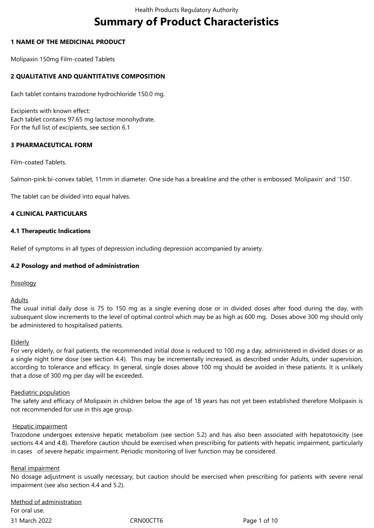# **Summary of Product Characteristics**

# **1 NAME OF THE MEDICINAL PRODUCT**

Molipaxin 150mg Film-coated Tablets

# **2 QUALITATIVE AND QUANTITATIVE COMPOSITION**

Each tablet contains trazodone hydrochloride 150.0 mg.

Excipients with known effect: Each tablet contains 97.65 mg lactose monohydrate. For the full list of excipients, see section 6.1

# **3 PHARMACEUTICAL FORM**

Film-coated Tablets.

Salmon-pink bi-convex tablet, 11mm in diameter. One side has a breakline and the other is embossed 'Molipaxin' and '150'.

The tablet can be divided into equal halves.

# **4 CLINICAL PARTICULARS**

### **4.1 Therapeutic Indications**

Relief of symptoms in all types of depression including depression accompanied by anxiety.

# **4.2 Posology and method of administration**

Posology

### Adults

The usual initial daily dose is 75 to 150 mg as a single evening dose or in divided doses after food during the day, with subsequent slow increments to the level of optimal control which may be as high as 600 mg. Doses above 300 mg should only be administered to hospitalised patients.

### Elderly

For very elderly, or frail patients, the recommended initial dose is reduced to 100 mg a day, administered in divided doses or as a single night time dose (see section 4.4). This may be incrementally increased, as described under Adults, under supervision, according to tolerance and efficacy. In general, single doses above 100 mg should be avoided in these patients. It is unlikely that a dose of 300 mg per day will be exceeded.

### Paediatric population

The safety and efficacy of Molipaxin in children below the age of 18 years has not yet been established therefore Molipaxin is not recommended for use in this age group.

### Hepatic impairment

Trazodone undergoes extensive hepatic metabolism (see section 5.2) and has also been associated with hepatotoxicity (see sections 4.4 and 4.8). Therefore caution should be exercised when prescribing for patients with hepatic impairment, particularly in cases of severe hepatic impairment. Periodic monitoring of liver function may be considered.

### Renal impairment

No dosage adjustment is usually necessary, but caution should be exercised when prescribing for patients with severe renal impairment (see also section 4.4 and 5.2).

31 March 2022 CRN00CTT6 Page 1 of 10 Method of administration For oral use.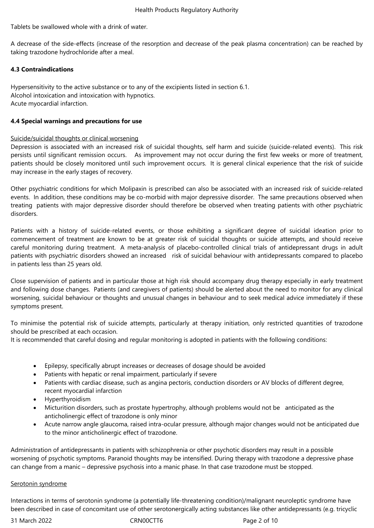Tablets be swallowed whole with a drink of water.

A decrease of the side-effects (increase of the resorption and decrease of the peak plasma concentration) can be reached by taking trazodone hydrochloride after a meal.

### **4.3 Contraindications**

Hypersensitivity to the active substance or to any of the excipients listed in section 6.1. Alcohol intoxication and intoxication with hypnotics. Acute myocardial infarction.

### **4.4 Special warnings and precautions for use**

### Suicide/suicidal thoughts or clinical worsening

Depression is associated with an increased risk of suicidal thoughts, self harm and suicide (suicide-related events). This risk persists until significant remission occurs. As improvement may not occur during the first few weeks or more of treatment, patients should be closely monitored until such improvement occurs. It is general clinical experience that the risk of suicide may increase in the early stages of recovery.

Other psychiatric conditions for which Molipaxin is prescribed can also be associated with an increased risk of suicide-related events. In addition, these conditions may be co-morbid with major depressive disorder. The same precautions observed when treating patients with major depressive disorder should therefore be observed when treating patients with other psychiatric disorders.

Patients with a history of suicide-related events, or those exhibiting a significant degree of suicidal ideation prior to commencement of treatment are known to be at greater risk of suicidal thoughts or suicide attempts, and should receive careful monitoring during treatment. A meta-analysis of placebo-controlled clinical trials of antidepressant drugs in adult patients with psychiatric disorders showed an increased risk of suicidal behaviour with antidepressants compared to placebo in patients less than 25 years old.

Close supervision of patients and in particular those at high risk should accompany drug therapy especially in early treatment and following dose changes. Patients (and caregivers of patients) should be alerted about the need to monitor for any clinical worsening, suicidal behaviour or thoughts and unusual changes in behaviour and to seek medical advice immediately if these symptoms present.

To minimise the potential risk of suicide attempts, particularly at therapy initiation, only restricted quantities of trazodone should be prescribed at each occasion.

It is recommended that careful dosing and regular monitoring is adopted in patients with the following conditions:

- Epilepsy, specifically abrupt increases or decreases of dosage should be avoided
- Patients with hepatic or renal impairment, particularly if severe
- Patients with cardiac disease, such as angina pectoris, conduction disorders or AV blocks of different degree, recent myocardial infarction
- Hyperthyroidism
- Micturition disorders, such as prostate hypertrophy, although problems would not be anticipated as the anticholinergic effect of trazodone is only minor
- Acute narrow angle glaucoma, raised intra-ocular pressure, although major changes would not be anticipated due to the minor anticholinergic effect of trazodone.

Administration of antidepressants in patients with schizophrenia or other psychotic disorders may result in a possible worsening of psychotic symptoms. Paranoid thoughts may be intensified. During therapy with trazodone a depressive phase can change from a manic – depressive psychosis into a manic phase. In that case trazodone must be stopped.

### Serotonin syndrome

Interactions in terms of serotonin syndrome (a potentially life-threatening condition)/malignant neuroleptic syndrome have been described in case of concomitant use of other serotonergically acting substances like other antidepressants (e.g. tricyclic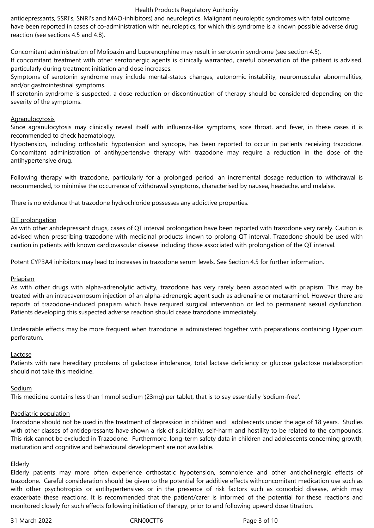### Health Products Regulatory Authority

antidepressants, SSRI's, SNRI's and MAO-inhibitors) and neuroleptics. Malignant neuroleptic syndromes with fatal outcome have been reported in cases of co-administration with neuroleptics, for which this syndrome is a known possible adverse drug reaction (see sections 4.5 and 4.8).

Concomitant administration of Molipaxin and buprenorphine may result in serotonin syndrome (see section 4.5).

If concomitant treatment with other serotonergic agents is clinically warranted, careful observation of the patient is advised, particularly during treatment initiation and dose increases.

Symptoms of serotonin syndrome may include mental-status changes, autonomic instability, neuromuscular abnormalities, and/or gastrointestinal symptoms.

If serotonin syndrome is suspected, a dose reduction or discontinuation of therapy should be considered depending on the severity of the symptoms.

### **Agranulocytosis**

Since agranulocytosis may clinically reveal itself with influenza-like symptoms, sore throat, and fever, in these cases it is recommended to check haematology.

Hypotension, including orthostatic hypotension and syncope, has been reported to occur in patients receiving trazodone. Concomitant administration of antihypertensive therapy with trazodone may require a reduction in the dose of the antihypertensive drug.

Following therapy with trazodone, particularly for a prolonged period, an incremental dosage reduction to withdrawal is recommended, to minimise the occurrence of withdrawal symptoms, characterised by nausea, headache, and malaise.

There is no evidence that trazodone hydrochloride possesses any addictive properties.

### QT prolongation

As with other antidepressant drugs, cases of QT interval prolongation have been reported with trazodone very rarely. Caution is advised when prescribing trazodone with medicinal products known to prolong QT interval. Trazodone should be used with caution in patients with known cardiovascular disease including those associated with prolongation of the QT interval.

Potent CYP3A4 inhibitors may lead to increases in trazodone serum levels. See Section 4.5 for further information.

### Priapism

As with other drugs with alpha-adrenolytic activity, trazodone has very rarely been associated with priapism. This may be treated with an intracavernosum injection of an alpha-adrenergic agent such as adrenaline or metaraminol. However there are reports of trazodone-induced priapism which have required surgical intervention or led to permanent sexual dysfunction. Patients developing this suspected adverse reaction should cease trazodone immediately.

Undesirable effects may be more frequent when trazodone is administered together with preparations containing Hypericum perforatum.

#### Lactose

Patients with rare hereditary problems of galactose intolerance, total lactase deficiency or glucose galactose malabsorption should not take this medicine.

### Sodium

This medicine contains less than 1mmol sodium (23mg) per tablet, that is to say essentially 'sodium-free'.

### Paediatric population

Trazodone should not be used in the treatment of depression in children and adolescents under the age of 18 years. Studies with other classes of antidepressants have shown a risk of suicidality, self-harm and hostility to be related to the compounds. This risk cannot be excluded in Trazodone. Furthermore, long-term safety data in children and adolescents concerning growth, maturation and cognitive and behavioural development are not available.

### Elderly

Elderly patients may more often experience orthostatic hypotension, somnolence and other anticholinergic effects of trazodone. Careful consideration should be given to the potential for additive effects withconcomitant medication use such as with other psychotropics or antihypertensives or in the presence of risk factors such as comorbid disease, which may exacerbate these reactions. It is recommended that the patient/carer is informed of the potential for these reactions and monitored closely for such effects following initiation of therapy, prior to and following upward dose titration.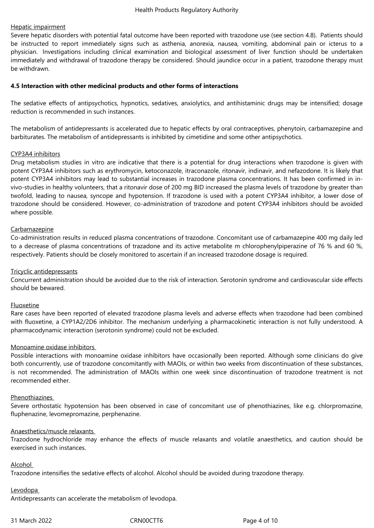### Hepatic impairment

Severe hepatic disorders with potential fatal outcome have been reported with trazodone use (see section 4.8). Patients should be instructed to report immediately signs such as asthenia, anorexia, nausea, vomiting, abdominal pain or icterus to a physician. Investigations including clinical examination and biological assessment of liver function should be undertaken immediately and withdrawal of trazodone therapy be considered. Should jaundice occur in a patient, trazodone therapy must be withdrawn.

### **4.5 Interaction with other medicinal products and other forms of interactions**

The sedative effects of antipsychotics, hypnotics, sedatives, anxiolytics, and antihistaminic drugs may be intensified; dosage reduction is recommended in such instances.

The metabolism of antidepressants is accelerated due to hepatic effects by oral contraceptives, phenytoin, carbamazepine and barbiturates. The metabolism of antidepressants is inhibited by cimetidine and some other antipsychotics.

### CYP3A4 inhibitors

Drug metabolism studies in vitro are indicative that there is a potential for drug interactions when trazodone is given with potent CYP3A4 inhibitors such as erythromycin, ketoconazole, itraconazole, ritonavir, indinavir, and nefazodone. It is likely that potent CYP3A4 inhibitors may lead to substantial increases in trazodone plasma concentrations. It has been confirmed in invivo-studies in healthy volunteers, that a ritonavir dose of 200 mg BID increased the plasma levels of trazodone by greater than twofold, leading to nausea, syncope and hypotension. If trazodone is used with a potent CYP3A4 inhibitor, a lower dose of trazodone should be considered. However, co-administration of trazodone and potent CYP3A4 inhibitors should be avoided where possible.

### **Carbamazepine**

Co-administration results in reduced plasma concentrations of trazodone. Concomitant use of carbamazepine 400 mg daily led to a decrease of plasma concentrations of trazadone and its active metabolite m chlorophenylpiperazine of 76 % and 60 %, respectively. Patients should be closely monitored to ascertain if an increased trazodone dosage is required.

### Tricyclic antidepressants

Concurrent administration should be avoided due to the risk of interaction. Serotonin syndrome and cardiovascular side effects should be bewared.

#### Fluoxetine

Rare cases have been reported of elevated trazodone plasma levels and adverse effects when trazodone had been combined with fluoxetine, a CYP1A2/2D6 inhibitor. The mechanism underlying a pharmacokinetic interaction is not fully understood. A pharmacodynamic interaction (serotonin syndrome) could not be excluded.

#### Monoamine oxidase inhibitors

Possible interactions with monoamine oxidase inhibitors have occasionally been reported. Although some clinicians do give both concurrently, use of trazodone concomitantly with MAOIs, or within two weeks from discontinuation of these substances, is not recommended. The administration of MAOIs within one week since discontinuation of trazodone treatment is not recommended either.

#### Phenothiazines

Severe orthostatic hypotension has been observed in case of concomitant use of phenothiazines, like e.g. chlorpromazine, fluphenazine, levomepromazine, perphenazine.

#### Anaesthetics/muscle relaxants

Trazodone hydrochloride may enhance the effects of muscle relaxants and volatile anaesthetics, and caution should be exercised in such instances.

#### Alcohol

Trazodone intensifies the sedative effects of alcohol. Alcohol should be avoided during trazodone therapy.

# Levodopa

Antidepressants can accelerate the metabolism of levodopa.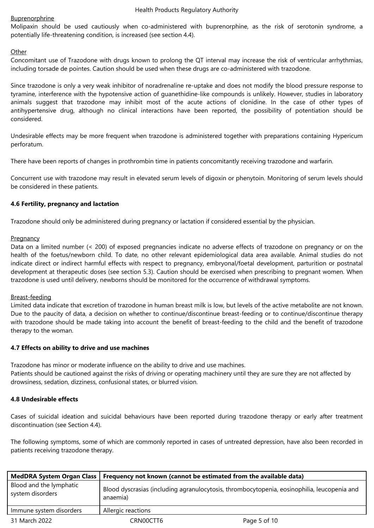# **Buprenorphrine**

Molipaxin should be used cautiously when co-administered with buprenorphine, as the risk of serotonin syndrome, a potentially life-threatening condition, is increased (see section 4.4).

# **Other**

Concomitant use of Trazodone with drugs known to prolong the QT interval may increase the risk of ventricular arrhythmias, including torsade de pointes. Caution should be used when these drugs are co-administered with trazodone.

Since trazodone is only a very weak inhibitor of noradrenaline re-uptake and does not modify the blood pressure response to tyramine, interference with the hypotensive action of guanethidine-like compounds is unlikely. However, studies in laboratory animals suggest that trazodone may inhibit most of the acute actions of clonidine. In the case of other types of antihypertensive drug, although no clinical interactions have been reported, the possibility of potentiation should be considered.

Undesirable effects may be more frequent when trazodone is administered together with preparations containing Hypericum perforatum.

There have been reports of changes in prothrombin time in patients concomitantly receiving trazodone and warfarin.

Concurrent use with trazodone may result in elevated serum levels of digoxin or phenytoin. Monitoring of serum levels should be considered in these patients.

# **4.6 Fertility, pregnancy and lactation**

Trazodone should only be administered during pregnancy or lactation if considered essential by the physician.

# Pregnancy

Data on a limited number (< 200) of exposed pregnancies indicate no adverse effects of trazodone on pregnancy or on the health of the foetus/newborn child. To date, no other relevant epidemiological data area available. Animal studies do not indicate direct or indirect harmful effects with respect to pregnancy, embryonal/foetal development, parturition or postnatal development at therapeutic doses (see section 5.3). Caution should be exercised when prescribing to pregnant women. When trazodone is used until delivery, newborns should be monitored for the occurrence of withdrawal symptoms.

### Breast-feeding

Limited data indicate that excretion of trazodone in human breast milk is low, but levels of the active metabolite are not known. Due to the paucity of data, a decision on whether to continue/discontinue breast-feeding or to continue/discontinue therapy with trazodone should be made taking into account the benefit of breast-feeding to the child and the benefit of trazodone therapy to the woman.

### **4.7 Effects on ability to drive and use machines**

Trazodone has minor or moderate influence on the ability to drive and use machines. Patients should be cautioned against the risks of driving or operating machinery until they are sure they are not affected by drowsiness, sedation, dizziness, confusional states, or blurred vision.

### **4.8 Undesirable effects**

Cases of suicidal ideation and suicidal behaviours have been reported during trazodone therapy or early after treatment discontinuation (see Section 4.4).

The following symptoms, some of which are commonly reported in cases of untreated depression, have also been recorded in patients receiving trazodone therapy.

| MedDRA System Organ Class                   | Frequency not known (cannot be estimated from the available data)                                       |              |
|---------------------------------------------|---------------------------------------------------------------------------------------------------------|--------------|
| Blood and the lymphatic<br>system disorders | Blood dyscrasias (including agranulocytosis, thrombocytopenia, eosinophilia, leucopenia and<br>anaemia) |              |
| Immune system disorders                     | Allergic reactions                                                                                      |              |
| 31 March 2022                               | CRN00CTT6                                                                                               | Page 5 of 10 |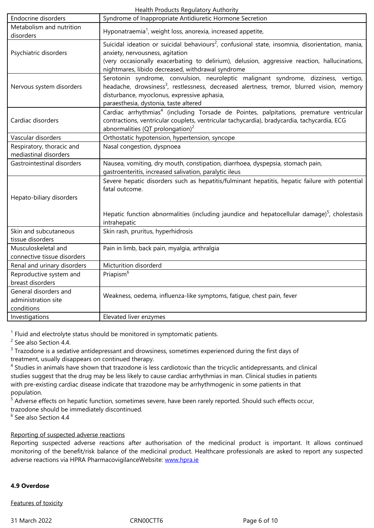| disorders                                                  | riponatraemia, weignt loss, anorexia, increased appetite,                                                                                                                                                                                                                                           |  |
|------------------------------------------------------------|-----------------------------------------------------------------------------------------------------------------------------------------------------------------------------------------------------------------------------------------------------------------------------------------------------|--|
| Psychiatric disorders                                      | Suicidal ideation or suicidal behaviours <sup>2</sup> , confusional state, insomnia, disorientation, mania,<br>anxiety, nervousness, agitation<br>(very occasionally exacerbating to delirium), delusion, aggressive reaction, hallucinations,<br>nightmares, libido decreased, withdrawal syndrome |  |
| Nervous system disorders                                   | Serotonin syndrome, convulsion, neuroleptic malignant syndrome, dizziness, vertigo,<br>headache, drowsiness <sup>3</sup> , restlessness, decreased alertness, tremor, blurred vision, memory<br>disturbance, myoclonus, expressive aphasia,<br>paraesthesia, dystonia, taste altered                |  |
| Cardiac disorders                                          | Cardiac arrhythmias <sup>4</sup> (including Torsade de Pointes, palpitations, premature ventricular<br>contractions, ventricular couplets, ventricular tachycardia), bradycardia, tachycardia, ECG<br>abnormalities (QT prolongation) <sup>2</sup>                                                  |  |
| Vascular disorders                                         | Orthostatic hypotension, hypertension, syncope                                                                                                                                                                                                                                                      |  |
| Respiratory, thoracic and<br>mediastinal disorders         | Nasal congestion, dyspnoea                                                                                                                                                                                                                                                                          |  |
| Gastrointestinal disorders                                 | Nausea, vomiting, dry mouth, constipation, diarrhoea, dyspepsia, stomach pain,<br>gastroenteritis, increased salivation, paralytic ileus                                                                                                                                                            |  |
| Hepato-biliary disorders                                   | Severe hepatic disorders such as hepatitis/fulminant hepatitis, hepatic failure with potential<br>fatal outcome.                                                                                                                                                                                    |  |
|                                                            | Hepatic function abnormalities (including jaundice and hepatocellular damage) $5$ , cholestasis<br>intrahepatic                                                                                                                                                                                     |  |
| Skin and subcutaneous<br>tissue disorders                  | Skin rash, pruritus, hyperhidrosis                                                                                                                                                                                                                                                                  |  |
| Musculoskeletal and<br>connective tissue disorders         | Pain in limb, back pain, myalgia, arthralgia                                                                                                                                                                                                                                                        |  |
| Renal and urinary disorders                                | Micturition disorderd                                                                                                                                                                                                                                                                               |  |
| Reproductive system and<br>breast disorders                | Priapism <sup>6</sup>                                                                                                                                                                                                                                                                               |  |
| General disorders and<br>administration site<br>conditions | Weakness, oedema, influenza-like symptoms, fatigue, chest pain, fever                                                                                                                                                                                                                               |  |
| Investigations                                             | Elevated liver enzymes                                                                                                                                                                                                                                                                              |  |

 $<sup>1</sup>$  Fluid and electrolyte status should be monitored in symptomatic patients.</sup>

<sup>2</sup> See also Section 4.4.

 $3$  Trazodone is a sedative antidepressant and drowsiness, sometimes experienced during the first days of treatment, usually disappears on continued therapy.

<sup>4</sup> Studies in animals have shown that trazodone is less cardiotoxic than the tricyclic antidepressants, and clinical studies suggest that the drug may be less likely to cause cardiac arrhythmias in man. Clinical studies in patients with pre-existing cardiac disease indicate that trazodone may be arrhythmogenic in some patients in that population.

<sup>5</sup> Adverse effects on hepatic function, sometimes severe, have been rarely reported. Should such effects occur, trazodone should be immediately discontinued.

6 See also Section 4.4

# Reporting of suspected adverse reactions

Reporting suspected adverse reactions after authorisation of the medicinal product is important. It allows continued monitoring of the benefit/risk balance of the medicinal product. Healthcare professionals are asked to report any suspected adverse reactions via HPRA PharmacovigilanceWebsite: www.hpra.ie

### **4.9 Overdose**

Features of toxicity

31 March 2022 CRN00CTT6 Page 6 of 10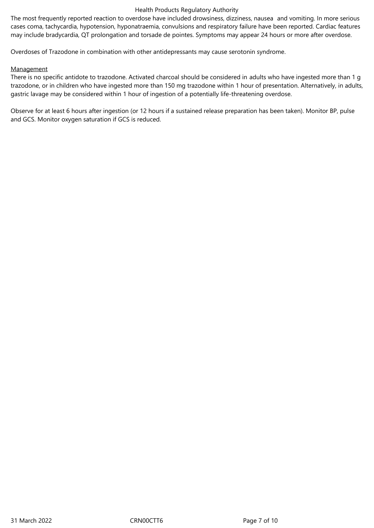### Health Products Regulatory Authority

The most frequently reported reaction to overdose have included drowsiness, dizziness, nausea and vomiting. In more serious cases coma, tachycardia, hypotension, hyponatraemia, convulsions and respiratory failure have been reported. Cardiac features may include bradycardia, QT prolongation and torsade de pointes. Symptoms may appear 24 hours or more after overdose.

Overdoses of Trazodone in combination with other antidepressants may cause serotonin syndrome.

# **Management**

There is no specific antidote to trazodone. Activated charcoal should be considered in adults who have ingested more than 1 g trazodone, or in children who have ingested more than 150 mg trazodone within 1 hour of presentation. Alternatively, in adults, gastric lavage may be considered within 1 hour of ingestion of a potentially life-threatening overdose.

Observe for at least 6 hours after ingestion (or 12 hours if a sustained release preparation has been taken). Monitor BP, pulse and GCS. Monitor oxygen saturation if GCS is reduced.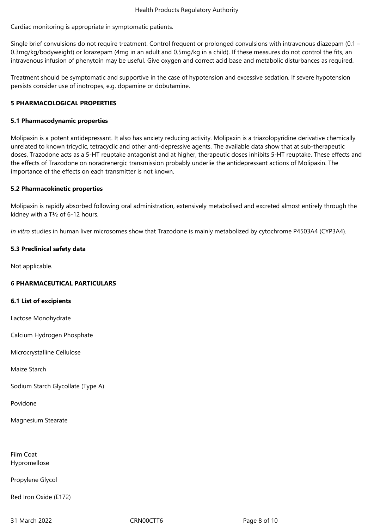Cardiac monitoring is appropriate in symptomatic patients.

Single brief convulsions do not require treatment. Control frequent or prolonged convulsions with intravenous diazepam (0.1 – 0.3mg/kg/bodyweight) or lorazepam (4mg in an adult and 0.5mg/kg in a child). If these measures do not control the fits, an intravenous infusion of phenytoin may be useful. Give oxygen and correct acid base and metabolic disturbances as required.

Treatment should be symptomatic and supportive in the case of hypotension and excessive sedation. If severe hypotension persists consider use of inotropes, e.g. dopamine or dobutamine.

# **5 PHARMACOLOGICAL PROPERTIES**

# **5.1 Pharmacodynamic properties**

Molipaxin is a potent antidepressant. It also has anxiety reducing activity. Molipaxin is a triazolopyridine derivative chemically unrelated to known tricyclic, tetracyclic and other anti-depressive agents. The available data show that at sub-therapeutic doses, Trazodone acts as a 5-HT reuptake antagonist and at higher, therapeutic doses inhibits 5-HT reuptake. These effects and the effects of Trazodone on noradrenergic transmission probably underlie the antidepressant actions of Molipaxin. The importance of the effects on each transmitter is not known.

# **5.2 Pharmacokinetic properties**

Molipaxin is rapidly absorbed following oral administration, extensively metabolised and excreted almost entirely through the kidney with a T½ of 6-12 hours.

*In vitro* studies in human liver microsomes show that Trazodone is mainly metabolized by cytochrome P4503A4 (CYP3A4).

# **5.3 Preclinical safety data**

Not applicable.

# **6 PHARMACEUTICAL PARTICULARS**

### **6.1 List of excipients**

Lactose Monohydrate

Calcium Hydrogen Phosphate

Microcrystalline Cellulose

Maize Starch

Sodium Starch Glycollate (Type A)

Povidone

Magnesium Stearate

Film Coat Hypromellose

Propylene Glycol

Red Iron Oxide (E172)

31 March 2022 CRN00CTT6 Page 8 of 10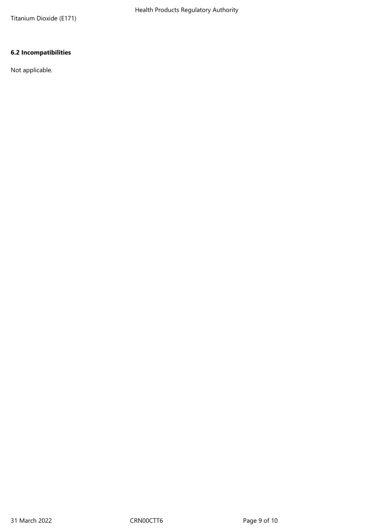Titanium Dioxide (E171)

# **6.2 Incompatibilities**

Not applicable.